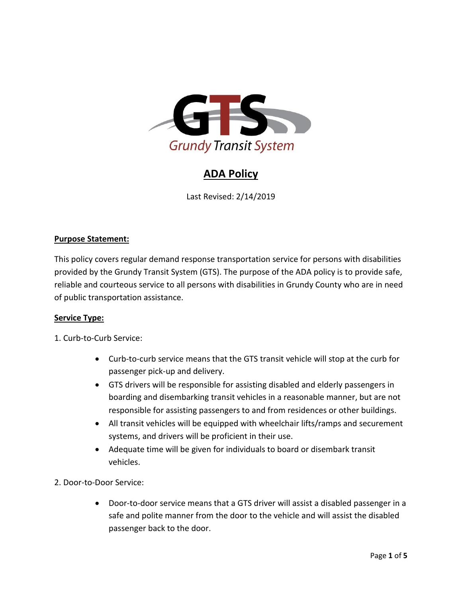

# **ADA Policy**

Last Revised: 2/14/2019

## **Purpose Statement:**

This policy covers regular demand response transportation service for persons with disabilities provided by the Grundy Transit System (GTS). The purpose of the ADA policy is to provide safe, reliable and courteous service to all persons with disabilities in Grundy County who are in need of public transportation assistance.

#### **Service Type:**

- 1. Curb-to-Curb Service:
	- Curb-to-curb service means that the GTS transit vehicle will stop at the curb for passenger pick-up and delivery.
	- GTS drivers will be responsible for assisting disabled and elderly passengers in boarding and disembarking transit vehicles in a reasonable manner, but are not responsible for assisting passengers to and from residences or other buildings.
	- All transit vehicles will be equipped with wheelchair lifts/ramps and securement systems, and drivers will be proficient in their use.
	- Adequate time will be given for individuals to board or disembark transit vehicles.
- 2. Door-to-Door Service:
	- Door-to-door service means that a GTS driver will assist a disabled passenger in a safe and polite manner from the door to the vehicle and will assist the disabled passenger back to the door.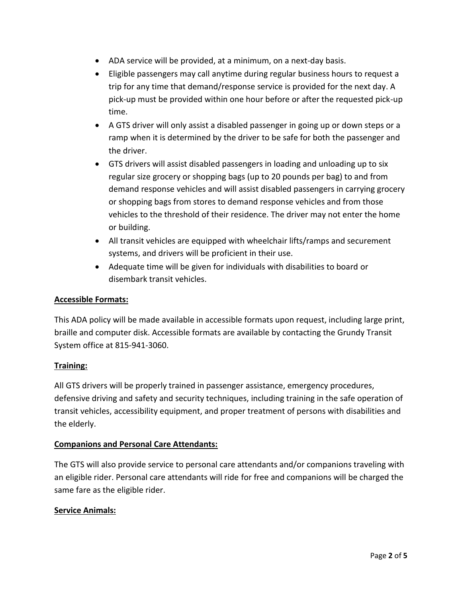- ADA service will be provided, at a minimum, on a next-day basis.
- Eligible passengers may call anytime during regular business hours to request a trip for any time that demand/response service is provided for the next day. A pick-up must be provided within one hour before or after the requested pick-up time.
- A GTS driver will only assist a disabled passenger in going up or down steps or a ramp when it is determined by the driver to be safe for both the passenger and the driver.
- GTS drivers will assist disabled passengers in loading and unloading up to six regular size grocery or shopping bags (up to 20 pounds per bag) to and from demand response vehicles and will assist disabled passengers in carrying grocery or shopping bags from stores to demand response vehicles and from those vehicles to the threshold of their residence. The driver may not enter the home or building.
- All transit vehicles are equipped with wheelchair lifts/ramps and securement systems, and drivers will be proficient in their use.
- Adequate time will be given for individuals with disabilities to board or disembark transit vehicles.

# **Accessible Formats:**

This ADA policy will be made available in accessible formats upon request, including large print, braille and computer disk. Accessible formats are available by contacting the Grundy Transit System office at 815-941-3060.

# **Training:**

All GTS drivers will be properly trained in passenger assistance, emergency procedures, defensive driving and safety and security techniques, including training in the safe operation of transit vehicles, accessibility equipment, and proper treatment of persons with disabilities and the elderly.

#### **Companions and Personal Care Attendants:**

The GTS will also provide service to personal care attendants and/or companions traveling with an eligible rider. Personal care attendants will ride for free and companions will be charged the same fare as the eligible rider.

#### **Service Animals:**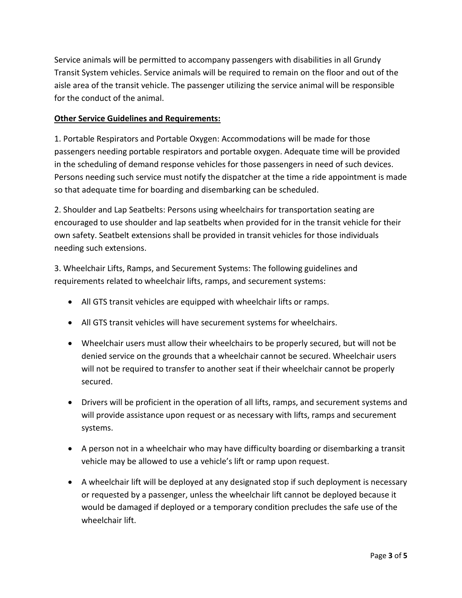Service animals will be permitted to accompany passengers with disabilities in all Grundy Transit System vehicles. Service animals will be required to remain on the floor and out of the aisle area of the transit vehicle. The passenger utilizing the service animal will be responsible for the conduct of the animal.

## **Other Service Guidelines and Requirements:**

1. Portable Respirators and Portable Oxygen: Accommodations will be made for those passengers needing portable respirators and portable oxygen. Adequate time will be provided in the scheduling of demand response vehicles for those passengers in need of such devices. Persons needing such service must notify the dispatcher at the time a ride appointment is made so that adequate time for boarding and disembarking can be scheduled.

2. Shoulder and Lap Seatbelts: Persons using wheelchairs for transportation seating are encouraged to use shoulder and lap seatbelts when provided for in the transit vehicle for their own safety. Seatbelt extensions shall be provided in transit vehicles for those individuals needing such extensions.

3. Wheelchair Lifts, Ramps, and Securement Systems: The following guidelines and requirements related to wheelchair lifts, ramps, and securement systems:

- All GTS transit vehicles are equipped with wheelchair lifts or ramps.
- All GTS transit vehicles will have securement systems for wheelchairs.
- Wheelchair users must allow their wheelchairs to be properly secured, but will not be denied service on the grounds that a wheelchair cannot be secured. Wheelchair users will not be required to transfer to another seat if their wheelchair cannot be properly secured.
- Drivers will be proficient in the operation of all lifts, ramps, and securement systems and will provide assistance upon request or as necessary with lifts, ramps and securement systems.
- A person not in a wheelchair who may have difficulty boarding or disembarking a transit vehicle may be allowed to use a vehicle's lift or ramp upon request.
- A wheelchair lift will be deployed at any designated stop if such deployment is necessary or requested by a passenger, unless the wheelchair lift cannot be deployed because it would be damaged if deployed or a temporary condition precludes the safe use of the wheelchair lift.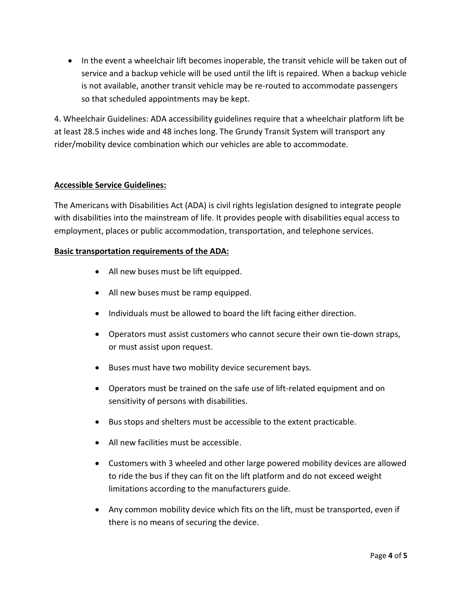• In the event a wheelchair lift becomes inoperable, the transit vehicle will be taken out of service and a backup vehicle will be used until the lift is repaired. When a backup vehicle is not available, another transit vehicle may be re-routed to accommodate passengers so that scheduled appointments may be kept.

4. Wheelchair Guidelines: ADA accessibility guidelines require that a wheelchair platform lift be at least 28.5 inches wide and 48 inches long. The Grundy Transit System will transport any rider/mobility device combination which our vehicles are able to accommodate.

## **Accessible Service Guidelines:**

The Americans with Disabilities Act (ADA) is civil rights legislation designed to integrate people with disabilities into the mainstream of life. It provides people with disabilities equal access to employment, places or public accommodation, transportation, and telephone services.

#### **Basic transportation requirements of the ADA:**

- All new buses must be lift equipped.
- All new buses must be ramp equipped.
- Individuals must be allowed to board the lift facing either direction.
- Operators must assist customers who cannot secure their own tie-down straps, or must assist upon request.
- Buses must have two mobility device securement bays.
- Operators must be trained on the safe use of lift-related equipment and on sensitivity of persons with disabilities.
- Bus stops and shelters must be accessible to the extent practicable.
- All new facilities must be accessible.
- Customers with 3 wheeled and other large powered mobility devices are allowed to ride the bus if they can fit on the lift platform and do not exceed weight limitations according to the manufacturers guide.
- Any common mobility device which fits on the lift, must be transported, even if there is no means of securing the device.